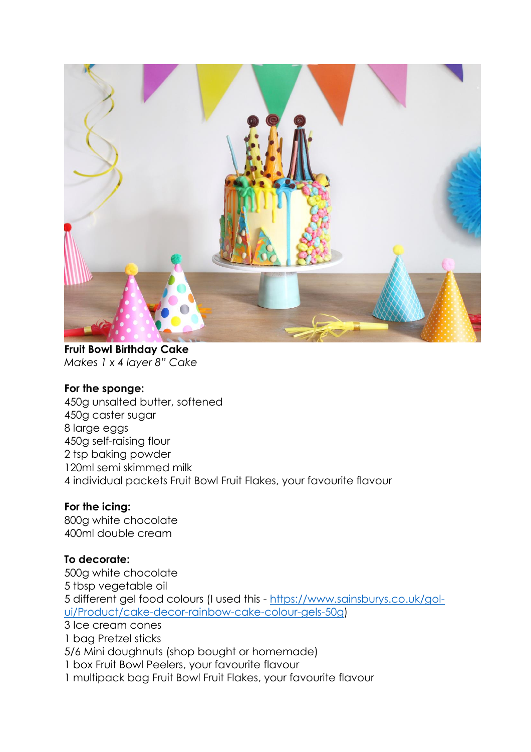

**Fruit Bowl Birthday Cake** *Makes 1 x 4 layer 8" Cake*

#### **For the sponge:**

450g unsalted butter, softened 450g caster sugar 8 large eggs 450g self-raising flour 2 tsp baking powder 120ml semi skimmed milk 4 individual packets Fruit Bowl Fruit Flakes, your favourite flavour

### **For the icing:**

800g white chocolate 400ml double cream

### **To decorate:**

500g white chocolate 5 tbsp vegetable oil 5 different gel food colours (I used this - [https://www.sainsburys.co.uk/gol](https://www.sainsburys.co.uk/gol-ui/Product/cake-decor-rainbow-cake-colour-gels-50g)[ui/Product/cake-decor-rainbow-cake-colour-gels-50g\)](https://www.sainsburys.co.uk/gol-ui/Product/cake-decor-rainbow-cake-colour-gels-50g) 3 Ice cream cones 1 bag Pretzel sticks 5/6 Mini doughnuts (shop bought or homemade) 1 box Fruit Bowl Peelers, your favourite flavour 1 multipack bag Fruit Bowl Fruit Flakes, your favourite flavour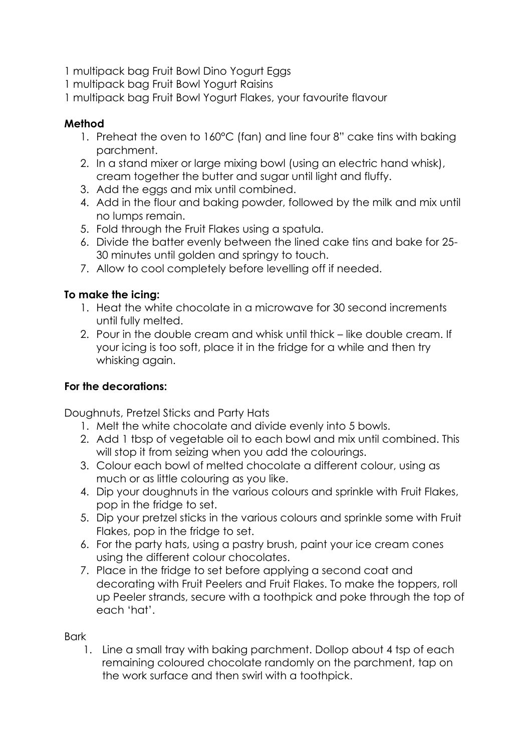1 multipack bag Fruit Bowl Dino Yogurt Eggs

1 multipack bag Fruit Bowl Yogurt Raisins

1 multipack bag Fruit Bowl Yogurt Flakes, your favourite flavour

### **Method**

- 1. Preheat the oven to 160°C (fan) and line four 8" cake tins with baking parchment.
- 2. In a stand mixer or large mixing bowl (using an electric hand whisk), cream together the butter and sugar until light and fluffy.
- 3. Add the eggs and mix until combined.
- 4. Add in the flour and baking powder, followed by the milk and mix until no lumps remain.
- 5. Fold through the Fruit Flakes using a spatula.
- 6. Divide the batter evenly between the lined cake tins and bake for 25- 30 minutes until golden and springy to touch.
- 7. Allow to cool completely before levelling off if needed.

## **To make the icing:**

- 1. Heat the white chocolate in a microwave for 30 second increments until fully melted.
- 2. Pour in the double cream and whisk until thick like double cream. If your icing is too soft, place it in the fridge for a while and then try whisking again.

# **For the decorations:**

Doughnuts, Pretzel Sticks and Party Hats

- 1. Melt the white chocolate and divide evenly into 5 bowls.
- 2. Add 1 tbsp of vegetable oil to each bowl and mix until combined. This will stop it from seizing when you add the colourings.
- 3. Colour each bowl of melted chocolate a different colour, using as much or as little colouring as you like.
- 4. Dip your doughnuts in the various colours and sprinkle with Fruit Flakes, pop in the fridge to set.
- 5. Dip your pretzel sticks in the various colours and sprinkle some with Fruit Flakes, pop in the fridge to set.
- 6. For the party hats, using a pastry brush, paint your ice cream cones using the different colour chocolates.
- 7. Place in the fridge to set before applying a second coat and decorating with Fruit Peelers and Fruit Flakes. To make the toppers, roll up Peeler strands, secure with a toothpick and poke through the top of each 'hat'.

### Bark

1. Line a small tray with baking parchment. Dollop about 4 tsp of each remaining coloured chocolate randomly on the parchment, tap on the work surface and then swirl with a toothpick.